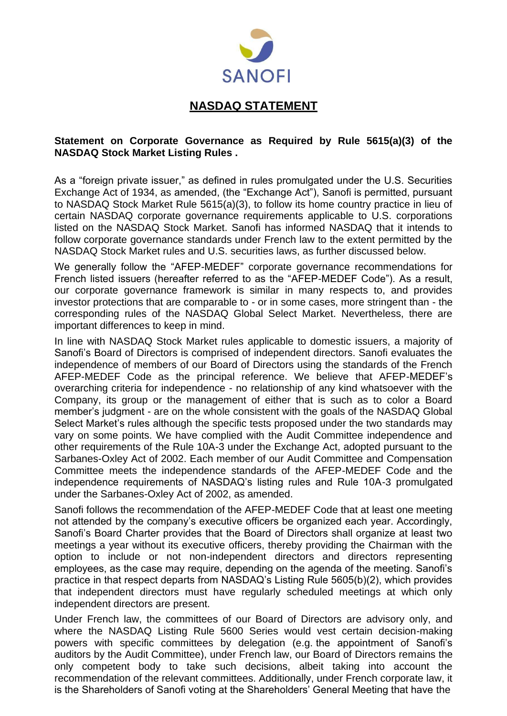

## **NASDAQ STATEMENT**

## **Statement on Corporate Governance as Required by Rule 5615(a)(3) of the NASDAQ Stock Market Listing Rules .**

As a "foreign private issuer," as defined in rules promulgated under the U.S. Securities Exchange Act of 1934, as amended, (the "Exchange Act"), Sanofi is permitted, pursuant to NASDAQ Stock Market Rule 5615(a)(3), to follow its home country practice in lieu of certain NASDAQ corporate governance requirements applicable to U.S. corporations listed on the NASDAQ Stock Market. Sanofi has informed NASDAQ that it intends to follow corporate governance standards under French law to the extent permitted by the NASDAQ Stock Market rules and U.S. securities laws, as further discussed below.

We generally follow the "AFEP-MEDEF" corporate governance recommendations for French listed issuers (hereafter referred to as the "AFEP-MEDEF Code"). As a result, our corporate governance framework is similar in many respects to, and provides investor protections that are comparable to - or in some cases, more stringent than - the corresponding rules of the NASDAQ Global Select Market. Nevertheless, there are important differences to keep in mind.

In line with NASDAQ Stock Market rules applicable to domestic issuers, a majority of Sanofi's Board of Directors is comprised of independent directors. Sanofi evaluates the independence of members of our Board of Directors using the standards of the French AFEP-MEDEF Code as the principal reference. We believe that AFEP-MEDEF's overarching criteria for independence - no relationship of any kind whatsoever with the Company, its group or the management of either that is such as to color a Board member's judgment - are on the whole consistent with the goals of the NASDAQ Global Select Market's rules although the specific tests proposed under the two standards may vary on some points. We have complied with the Audit Committee independence and other requirements of the Rule 10A-3 under the Exchange Act, adopted pursuant to the Sarbanes-Oxley Act of 2002. Each member of our Audit Committee and Compensation Committee meets the independence standards of the AFEP-MEDEF Code and the independence requirements of NASDAQ's listing rules and Rule 10A-3 promulgated under the Sarbanes-Oxley Act of 2002, as amended.

Sanofi follows the recommendation of the AFEP-MEDEF Code that at least one meeting not attended by the company's executive officers be organized each year. Accordingly, Sanofi's Board Charter provides that the Board of Directors shall organize at least two meetings a year without its executive officers, thereby providing the Chairman with the option to include or not non-independent directors and directors representing employees, as the case may require, depending on the agenda of the meeting. Sanofi's practice in that respect departs from NASDAQ's Listing Rule 5605(b)(2), which provides that independent directors must have regularly scheduled meetings at which only independent directors are present.

Under French law, the committees of our Board of Directors are advisory only, and where the NASDAQ Listing Rule 5600 Series would vest certain decision-making powers with specific committees by delegation (e.g. the appointment of Sanofi's auditors by the Audit Committee), under French law, our Board of Directors remains the only competent body to take such decisions, albeit taking into account the recommendation of the relevant committees. Additionally, under French corporate law, it is the Shareholders of Sanofi voting at the Shareholders' General Meeting that have the